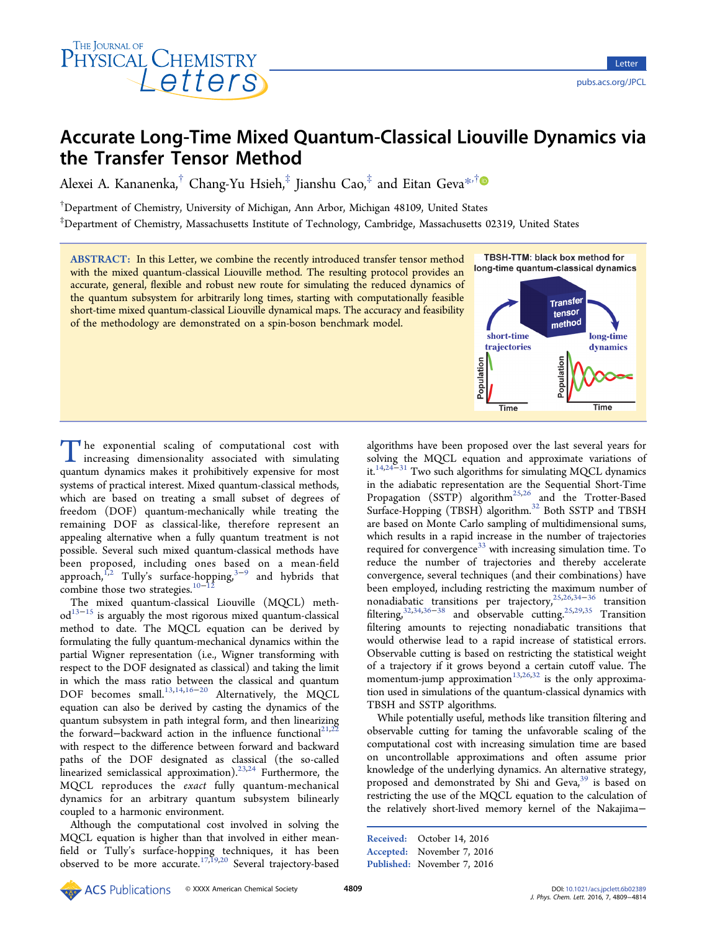

# Accurate Long-Time Mixed Quantum-Classical Liouville Dynamics via the Transfer Tensor Method

Alexei A. Kananenka,<sup>†</sup> Chang-Yu Hsieh,<sup>‡</sup> Jianshu Cao,<sup>‡</sup> and Eitan Geva<sup>[\\*](#page-4-0),†</sup>

† Department of Chemistry, University of Michigan, Ann Arbor, Michigan 48109, United States

‡ Department of Chemistry, Massachusetts Institute of Technology, Cambridge, Massachusetts 02319, United States

ABSTRACT: In this Letter, we combine the recently introduced transfer tensor method with the mixed quantum-classical Liouville method. The resulting protocol provides an accurate, general, flexible and robust new route for simulating the reduced dynamics of the quantum subsystem for arbitrarily long times, starting with computationally feasible short-time mixed quantum-classical Liouville dynamical maps. The accuracy and feasibility of the methodology are demonstrated on a spin-boson benchmark model.



The exponential scaling of computational cost with increasing dimensionality associated with simulating quantum dynamics makes it prohibitively expensive for most systems of practical interest. Mixed quantum-classical methods, which are based on treating a small subset of degrees of freedom (DOF) quantum-mechanically while treating the remaining DOF as classical-like, therefore represent an appealing alternative when a fully quantum treatment is not possible. Several such mixed quantum-classical methods have been proposed, including ones based on a mean-field approach,<sup>1,2</sup> Tully's surface-hopping,<sup>[3](#page-4-0)-[9](#page-4-0)</sup> and hybrids that combine [tho](#page-4-0)se two strategies. $10-12$ 

The mixed quantum-clas[sic](#page-4-0)a[l](#page-4-0) Liouville (MQCL) meth $od<sup>13-15</sup>$  is arguably the most rigorous mixed quantum-classical meth[od](#page-4-0) to date. The MQCL equation can be derived by formulating the fully quantum-mechanical dynamics within the partial Wigner representation (i.e., Wigner transforming with respect to the DOF designated as classical) and taking the limit in which the mass ratio between the classical and quantum DOF becomes small.<sup>13,14,16−20</sup> Alternatively, the MQCL equation can also be [derived](#page-4-0) [by](#page-4-0) casting the dynamics of the quantum subsystem in path integral form, and then linearizing the forward–backward action in the influence functional<sup>21,22</sup> with respect to the difference between forward and back[ward](#page-4-0) paths of the DOF designated as classical (the so-called linearized semiclassical approximation).<sup>23,24</sup> Furthermore, the MQCL reproduces the exact fully [qua](#page-5-0)ntum-mechanical dynamics for an arbitrary quantum subsystem bilinearly coupled to a harmonic environment.

Although the computational cost involved in solving the MQCL equation is higher than that involved in either meanfield or Tully's surface-hopping techniques, it has been observed to be more accurate.<sup>[17](#page-4-0),[19,20](#page-4-0)</sup> Several trajectory-based

algorithms have been proposed over the last several years for solving the MQCL equation and approximate variations of it.14,24−<sup>31</sup> Two such algorithms for simulating MQCL dynamics in [t](#page-4-0)[he](#page-5-0) [ad](#page-5-0)iabatic representation are the Sequential Short-Time Propagation  $(SSTP)$  algorithm<sup>25,26</sup> and the Trotter-Based Surface-Hopping (TBSH) algori[thm.](#page-5-0)<sup>32</sup> Both SSTP and TBSH are based on Monte Carlo sampling [of](#page-5-0) multidimensional sums, which results in a rapid increase in the number of trajectories required for convergence<sup>33</sup> with increasing simulation time. To reduce the number of [t](#page-5-0)rajectories and thereby accelerate convergence, several techniques (and their combinations) have been employed, including restricting the maximum number of nonadiabatic transitions per trajectory,25,26,34−<sup>36</sup> transition filtering,<sup>32,34,36−38</sup> and observable cutting.<sup>25,29,35</sup> Transition filtering [amounts](#page-5-0) to rejecting nonadiabatic transitions that would otherwise lead to a rapid increase of statistical errors. Observable cutting is based on restricting the statistical weight of a trajectory if it grows beyond a certain cutoff value. The momentum-jump approximation<sup>13,26,32</sup> is the only approximation used in simulations of the q[ua](#page-4-0)[ntum](#page-5-0)-classical dynamics with TBSH and SSTP algorithms.

While potentially useful, methods like transition filtering and observable cutting for taming the unfavorable scaling of the computational cost with increasing simulation time are based on uncontrollable approximations and often assume prior knowledge of the underlying dynamics. An alternative strategy, proposed and demonstrated by Shi and Geva,<sup>39</sup> is based on restricting the use of the MQCL equation to th[e](#page-5-0) [c](#page-5-0)alculation of the relatively short-lived memory kernel of the Nakajima−

Received: October 14, 2016 Accepted: November 7, 2016 Published: November 7, 2016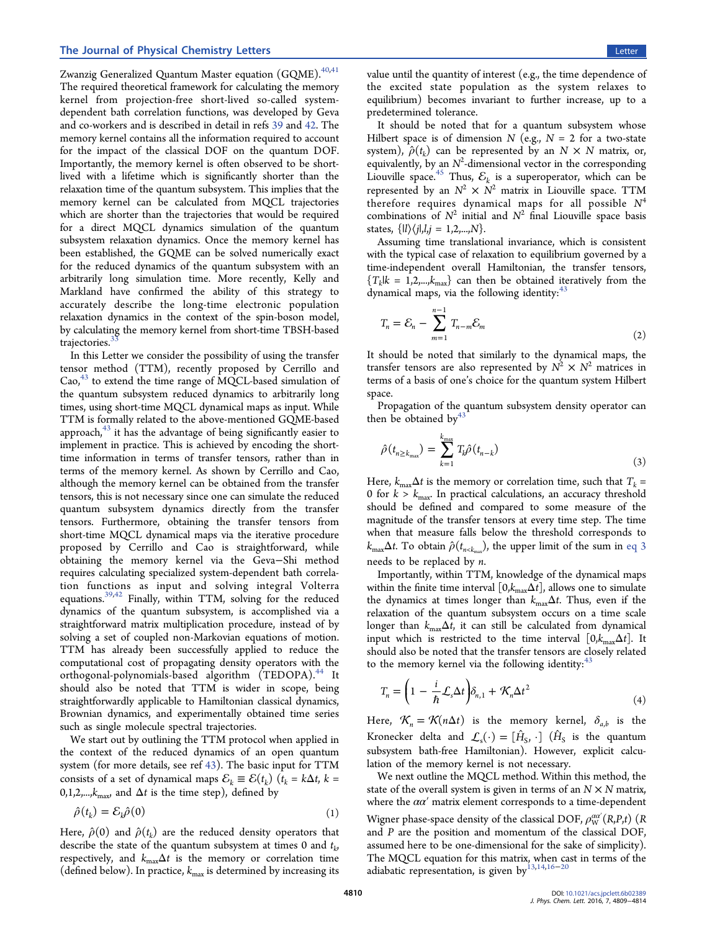### <span id="page-1-0"></span>The Journal of Physical Chemistry Letters **Letters Letters Letters Letters Letters**

Zwanzig Generalized Quantum Master equation (GQME).  $^{40,41}$ The required theoretical framework for calculating the me[mory](#page-5-0) kernel from projection-free short-lived so-called systemdependent bath correlation functions, was developed by Geva and co-workers and is described in detail in refs 39 and 42. The memory kernel contains all the information req[uire](#page-5-0)d to [acc](#page-5-0)ount for the impact of the classical DOF on the quantum DOF. Importantly, the memory kernel is often observed to be shortlived with a lifetime which is significantly shorter than the relaxation time of the quantum subsystem. This implies that the memory kernel can be calculated from MQCL trajectories which are shorter than the trajectories that would be required for a direct MQCL dynamics simulation of the quantum subsystem relaxation dynamics. Once the memory kernel has been established, the GQME can be solved numerically exact for the reduced dynamics of the quantum subsystem with an arbitrarily long simulation time. More recently, Kelly and Markland have confirmed the ability of this strategy to accurately describe the long-time electronic population relaxation dynamics in the context of the spin-boson model, by calculating the memory kernel from short-time TBSH-based trajectories.

In this L[ett](#page-5-0)er we consider the possibility of using the transfer tensor method (TTM), recently proposed by Cerrillo and Cao, $43$  to extend the time range of MQCL-based simulation of the quantum subsystem reduced dynamics to arbitrarily long times, using short-time MQCL dynamical maps as input. While TTM is formally related to the above-mentioned GQME-based approach, $43$  it has the advantage of being significantly easier to impleme[nt](#page-5-0) in practice. This is achieved by encoding the shorttime information in terms of transfer tensors, rather than in terms of the memory kernel. As shown by Cerrillo and Cao, although the memory kernel can be obtained from the transfer tensors, this is not necessary since one can simulate the reduced quantum subsystem dynamics directly from the transfer tensors. Furthermore, obtaining the transfer tensors from short-time MQCL dynamical maps via the iterative procedure proposed by Cerrillo and Cao is straightforward, while obtaining the memory kernel via the Geva−Shi method requires calculating specialized system-dependent bath correlation functions as input and solving integral Volterra equations.39,42 Finally, within TTM, solving for the reduced dynamics [of](#page-5-0) [t](#page-5-0)he quantum subsystem, is accomplished via a straightforward matrix multiplication procedure, instead of by solving a set of coupled non-Markovian equations of motion. TTM has already been successfully applied to reduce the computational cost of propagating density operators with the orthogonal-polynomials-based algorithm (TEDOPA).<sup>44</sup> It should also be noted that TTM is wider in scope, [be](#page-5-0)ing straightforwardly applicable to Hamiltonian classical dynamics, Brownian dynamics, and experimentally obtained time series such as single molecule spectral trajectories.

We start out by outlining the TTM protocol when applied in the context of the reduced dynamics of an open quantum system (for more details, see ref 43). The basic input for TTM consists of a set of dynamical m[aps](#page-5-0)  $\mathcal{E}_k \equiv \mathcal{E}(t_k)$  ( $t_k = k\Delta t$ ,  $k =$ 0,1,2,..., $k_{\text{max}}$ , and  $\Delta t$  is the time step), defined by

$$
\hat{\rho}(t_k) = \mathcal{E}_k \hat{\rho}(0) \tag{1}
$$

Here,  $\hat{\rho}(0)$  and  $\hat{\rho}(t_k)$  are the reduced density operators that describe the state of the quantum subsystem at times 0 and  $t_k$ , respectively, and  $k_{\text{max}}\Delta t$  is the memory or correlation time (defined below). In practice,  $k_{\text{max}}$  is determined by increasing its

value until the quantity of interest (e.g., the time dependence of the excited state population as the system relaxes to equilibrium) becomes invariant to further increase, up to a predetermined tolerance.

It should be noted that for a quantum subsystem whose Hilbert space is of dimension N (e.g.,  $N = 2$  for a two-state system),  $\hat{\rho}(t_k)$  can be represented by an  $N \times N$  matrix, or, equivalently, by an  $N^2$ -dimensional vector in the corresponding Liouville space.<sup>45</sup> Thus,  $\mathcal{E}_k$  is a superoperator, which can be represented by [an](#page-5-0)  $N^2 \times N^2$  matrix in Liouville space. TTM therefore requires dynamical maps for all possible  $N^4$ combinations of  $N^2$  initial and  $N^2$  final Liouville space basis states,  $\{|l\rangle\langle j|, l, j = 1, 2, ..., N\}.$ 

Assuming time translational invariance, which is consistent with the typical case of relaxation to equilibrium governed by a time-independent overall Hamiltonian, the transfer tensors,  ${T_k|k = 1,2,...,k_{max}}$  can then be obtained iteratively from the dynamical maps, via the following identity: $43$ 

$$
T_n = \mathcal{E}_n - \sum_{m=1}^{n-1} T_{n-m} \mathcal{E}_m
$$
 (2)

It should be noted that similarly to the dynamical maps, the transfer tensors are also represented by  $N^2 \times N^2$  matrices in terms of a basis of one's choice for the quantum system Hilbert space.

Propagation of the quantum subsystem density operator can then be obtained b[y](#page-5-0) $43$ 

$$
\hat{\rho}(t_{n\geq k_{\max}}) = \sum_{k=1}^{k_{\max}} T_k \hat{\rho}(t_{n-k})
$$
\n(3)

Here,  $k_{\text{max}}\Delta t$  is the memory or correlation time, such that  $T_k =$ 0 for  $k > k_{\text{max}}$ . In practical calculations, an accuracy threshold should be defined and compared to some measure of the magnitude of the transfer tensors at every time step. The time when that measure falls below the threshold corresponds to  $k_{\text{max}}\Delta t$ . To obtain  $\hat{\rho}(t_{n \le k_{\text{max}}})$ , the upper limit of the sum in eq 3 needs to be replaced by n.

Importantly, within TTM, knowledge of the dynamical maps within the finite time interval  $[0, k_{\text{max}}\Delta t]$ , allows one to simulate the dynamics at times longer than  $k_{\text{max}}\Delta t$ . Thus, even if the relaxation of the quantum subsystem occurs on a time scale longer than  $k_{\text{max}}\Delta t$ , it can still be calculated from dynamical input which is restricted to the time interval  $[0, k_{\text{max}}\Delta t]$ . It should also be noted that the transfer tensors are closely related to the memory kernel via the following identity: $43$ 

$$
T_n = \left(1 - \frac{i}{\hbar} \mathcal{L}_s \Delta t \right) \delta_{n,1} + \mathcal{K}_n \Delta t^2 \tag{4}
$$

Here,  $\mathcal{K}_n = \mathcal{K}(n\Delta t)$  is the memory kernel,  $\delta_{a,b}$  is the Kronecker delta and  $\mathcal{L}_s(\cdot) = [\hat{H}_S, \cdot]$  ( $\hat{H}_S$  is the quantum subsystem bath-free Hamiltonian). However, explicit calculation of the memory kernel is not necessary.

We next outline the MQCL method. Within this method, the state of the overall system is given in terms of an  $N \times N$  matrix, where the  $\alpha\alpha'$  matrix element corresponds to a time-dependent Wigner phase-space density of the classical DOF,  $\rho_\mathrm{W}^{\alpha\alpha'}(R,\!P\!,\!t)$   $(R$ and P are the position and momentum of the classical DOF, assumed here to be one-dimensional for the sake of simplicity). The MQCL equation for this matrix, when cast in terms of the adiabatic representation, is given by<sup>[13,14](#page-4-0),[16](#page-4-0)–[20](#page-4-0)</sup>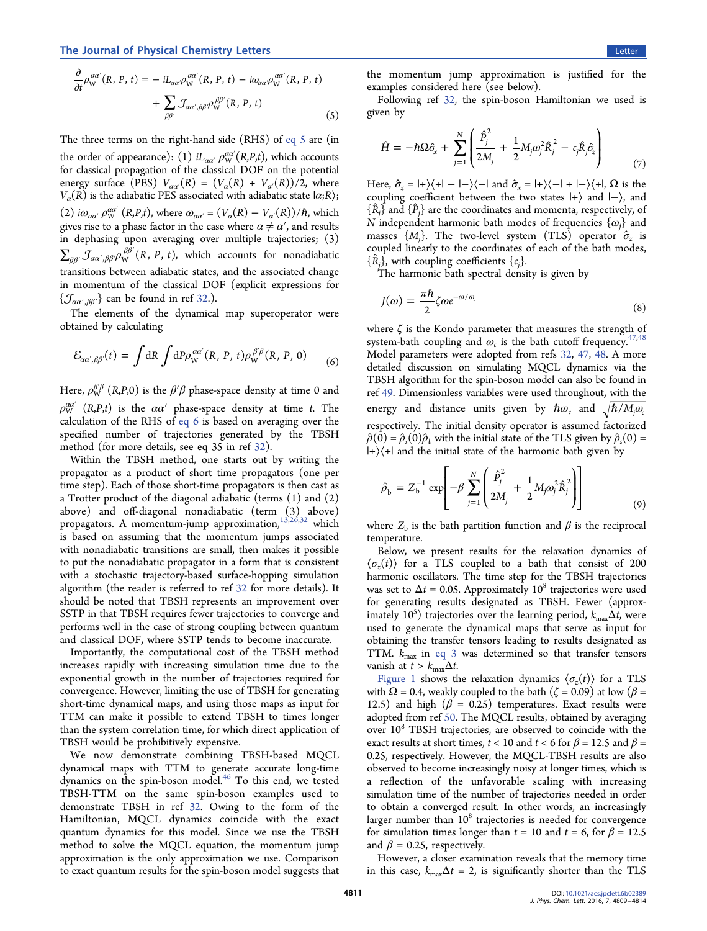$$
\frac{\partial}{\partial t} \rho_{\rm W}^{a a'}(R, P, t) = -i L_{a a'} \rho_{\rm W}^{a a'}(R, P, t) - i \omega_{a a'} \rho_{\rm W}^{a a'}(R, P, t) \n+ \sum_{\beta \beta'} \mathcal{J}_{a a', \beta \beta'} \rho_{\rm W}^{\beta \beta'}(R, P, t)
$$
\n(5)

The three terms on the right-hand side (RHS) of eq 5 are (in the order of appearance): (1)  $iL_{\alpha\alpha'}\,\rho_{\rm W}^{\alpha\alpha'}({\rm R,}P,t)$ , wh[ich](#page-1-0) [ac](#page-1-0)counts for classical propagation of the classical DOF on the potential energy surface (PES)  $V_{\alpha\alpha'}(R) = (V_{\alpha}(R) + V_{\alpha'}(R))/2$ , where  $V_{\alpha}(R)$  is the adiabatic PES associated with adiabatic state  $|\alpha;R\rangle$ ; (2)  $i\omega_{\alpha\alpha'}\rho_{\rm W}^{\alpha\alpha'}$  (R,P,t), where  $\omega_{\alpha\alpha'} = (V_{\alpha}(R) - V_{\alpha'}(R))/\hbar$ , which gives rise to a phase factor in the case where  $\alpha \neq \alpha'$ , and results in dephasing upon averaging over multiple trajectories; (3)  $\sum_{\beta\beta'}\mathcal{J}_{\alpha\alpha',\beta\beta'}\rho_{\mathsf{W}}^{\beta\beta'}(R,\,P,\,t),$  which accounts for nonadiabatic transitions between adiabatic states, and the associated change in momentum of the classical DOF (explicit expressions for  $\{\mathcal{J}_{\alpha\alpha',\beta\beta'}\}$  can be found in ref 32.).

The elements of the dyna[mic](#page-5-0)al map superoperator were obtained by calculating

$$
\mathcal{E}_{\alpha\alpha',\beta\beta'}(t) = \int dR \int dP \rho_{\rm W}^{\alpha\alpha'}(R,P,t) \rho_{\rm W}^{\beta'\beta}(R,P,0) \tag{6}
$$

Here,  $\rho_\mathrm{W}^{\beta'\beta}$   $(R,\!P,\!0)$  is the  $\beta'\beta$  phase-space density at time 0 and  $\rho_\mathrm{W}^{\alpha\alpha'}$   $(R,P,t)$  is the  $\alpha\alpha'$  phase-space density at time t. The calculation of the RHS of eq 6 is based on averaging over the specified number of trajectories generated by the TBSH method (for more details, see eq 35 in ref 32).

Within the TBSH method, one starts [out](#page-5-0) by writing the propagator as a product of short time propagators (one per time step). Each of those short-time propagators is then cast as a Trotter product of the diagonal adiabatic (terms (1) and (2) above) and off-diagonal nonadiabatic (term (3) above) propagators. A momentum-jump approximation, $13,26,32$  which is based on assuming that the momentum jum[ps](#page-4-0) [asso](#page-5-0)ciated with nonadiabatic transitions are small, then makes it possible to put the nonadiabatic propagator in a form that is consistent with a stochastic trajectory-based surface-hopping simulation algorithm (the reader is referred to ref 32 for more details). It should be noted that TBSH represent[s an](#page-5-0) improvement over SSTP in that TBSH requires fewer trajectories to converge and performs well in the case of strong coupling between quantum and classical DOF, where SSTP tends to become inaccurate.

Importantly, the computational cost of the TBSH method increases rapidly with increasing simulation time due to the exponential growth in the number of trajectories required for convergence. However, limiting the use of TBSH for generating short-time dynamical maps, and using those maps as input for TTM can make it possible to extend TBSH to times longer than the system correlation time, for which direct application of TBSH would be prohibitively expensive.

We now demonstrate combining TBSH-based MQCL dynamical maps with TTM to generate accurate long-time dynamics on the spin-boson model.<sup>46</sup> To this end, we tested TBSH-TTM on the same spin-[bos](#page-5-0)on examples used to demonstrate TBSH in ref 32. Owing to the form of the Hamiltonian, MQCL dyn[ami](#page-5-0)cs coincide with the exact quantum dynamics for this model. Since we use the TBSH method to solve the MQCL equation, the momentum jump approximation is the only approximation we use. Comparison to exact quantum results for the spin-boson model suggests that

the momentum jump approximation is justified for the examples considered here (see below).

Following ref [32,](#page-5-0) the spin-boson Hamiltonian we used is given by

$$
\hat{H} = -\hbar\Omega\hat{\sigma}_{x} + \sum_{j=1}^{N} \left( \frac{\hat{P}_{j}^{2}}{2M_{j}} + \frac{1}{2}M_{j}\omega_{j}^{2}\hat{R}_{j}^{2} - c_{j}\hat{R}_{j}\hat{\sigma}_{z} \right)
$$
(7)

Here,  $\hat{\sigma}_z = |+\rangle\langle +| - |-\rangle\langle -|$  and  $\hat{\sigma}_x = |+\rangle\langle -| + |-\rangle\langle +|$ ,  $\Omega$  is the coupling coefficient between the two states |+⟩ and |−⟩, and  $\{\hat{R}_j\}$  and  $\{\hat{P}_j\}$  are the coordinates and momenta, respectively, of  $N$  independent harmonic bath modes of frequencies  $\{\omega_{j}\}$  and masses  $\{M_{j}\}.$  The two-level system (TLS) operator  $\hat{\sigma}_{z}$  is coupled linearly to the coordinates of each of the bath modes,  $\{\hat{R}_j\}$ , with coupling coefficients  $\{c_j\}$ .

The harmonic bath spectral density is given by

$$
J(\omega) = \frac{\pi \hbar}{2} \zeta \omega e^{-\omega/\omega_c}
$$
 (8)

where  $\zeta$  is the Kondo parameter that measures the strength of system-bath coupling and  $\omega_c$  is the bath cutoff frequency.<sup>47,48</sup> Model parameters were adopted from refs 32, 47, 48. A [more](#page-5-0) detailed discussion on simulating MQCL [d](#page-5-0)y[namics](#page-5-0) via the TBSH algorithm for the spin-boson model can also be found in ref 49. Dimensionless variables were used throughout, with the en[ergy](#page-5-0) and distance units given by  $\hbar \omega_c$  and  $\sqrt{\hbar / M_i \omega_c}$ respectively. The initial density operator is assumed factorized  $\hat{\rho}(0) = \hat{\rho}_s(0)\hat{\rho}_b$  with the initial state of the TLS given by  $\hat{\rho}_s(0) =$  $|+\rangle\langle +|$  and the initial state of the harmonic bath given by

$$
\hat{\rho}_{\mathbf{b}} = Z_{\mathbf{b}}^{-1} \exp \left[ -\beta \sum_{j=1}^{N} \left( \frac{\hat{P}_{j}^{2}}{2M_{j}} + \frac{1}{2} M_{j} \omega_{j}^{2} \hat{R}_{j}^{2} \right) \right]
$$
(9)

where  $Z_b$  is the bath partition function and  $\beta$  is the reciprocal temperature.

Below, we present results for the relaxation dynamics of  $\langle \sigma_z(t) \rangle$  for a TLS coupled to a bath that consist of 200 harmonic oscillators. The time step for the TBSH trajectories was set to  $\Delta t = 0.05$ . Approximately 10<sup>8</sup> trajectories were used for generating results designated as TBSH. Fewer (approximately 10<sup>5</sup>) trajectories over the learning period,  $k_{\rm max}\Delta t$ , were used to generate the dynamical maps that serve as input for obtaining the transfer tensors leading to results designated as TTM.  $k_{\text{max}}$  in eq 3 was determined so that transfer tensors vanish at  $t > k_{\text{max}}\Delta t$ .

Figure 1 shows the relaxation dynamics  $\langle \sigma_z(t) \rangle$  for a TLS with  $\Omega$  [= 0.](#page-3-0)4, weakly coupled to the bath ( $\zeta$  = 0.09) at low ( $\beta$  = 12.5) and high ( $\beta$  = 0.25) temperatures. Exact results were adopted from ref 50. The MQCL results, obtained by averaging over 10<sup>8</sup> TBSH t[raj](#page-5-0)ectories, are observed to coincide with the exact results at short times,  $t < 10$  and  $t < 6$  for  $\beta = 12.5$  and  $\beta =$ 0.25, respectively. However, the MQCL-TBSH results are also observed to become increasingly noisy at longer times, which is a reflection of the unfavorable scaling with increasing simulation time of the number of trajectories needed in order to obtain a converged result. In other words, an increasingly larger number than  $10<sup>8</sup>$  trajectories is needed for convergence for simulation times longer than  $t = 10$  and  $t = 6$ , for  $\beta = 12.5$ and  $\beta = 0.25$ , respectively.

However, a closer examination reveals that the memory time in this case,  $k_{\text{max}}\Delta t = 2$ , is significantly shorter than the TLS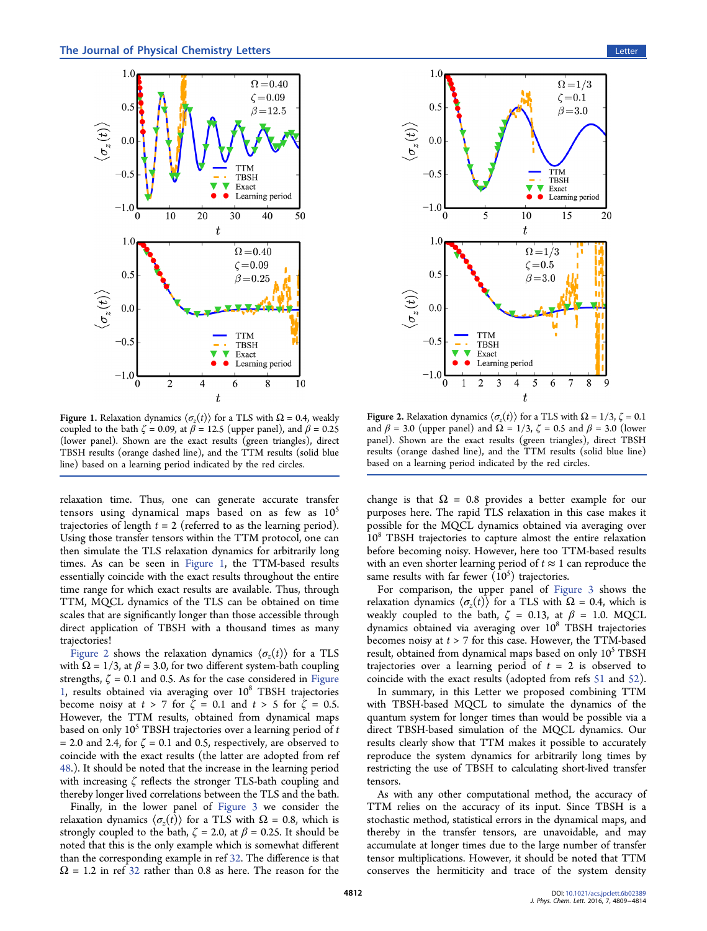<span id="page-3-0"></span>

**Figure 1.** Relaxation dynamics  $\langle \sigma_z(t) \rangle$  for a TLS with  $\Omega = 0.4$ , weakly coupled to the bath  $\zeta = 0.09$ , at  $\beta = 12.5$  (upper panel), and  $\beta = 0.25$ (lower panel). Shown are the exact results (green triangles), direct TBSH results (orange dashed line), and the TTM results (solid blue line) based on a learning period indicated by the red circles.

relaxation time. Thus, one can generate accurate transfer tensors using dynamical maps based on as few as  $10<sup>5</sup>$ trajectories of length  $t = 2$  (referred to as the learning period). Using those transfer tensors within the TTM protocol, one can then simulate the TLS relaxation dynamics for arbitrarily long times. As can be seen in Figure 1, the TTM-based results essentially coincide with the exact results throughout the entire time range for which exact results are available. Thus, through TTM, MQCL dynamics of the TLS can be obtained on time scales that are significantly longer than those accessible through direct application of TBSH with a thousand times as many trajectories!

Figure 2 shows the relaxation dynamics  $\langle \sigma_z(t) \rangle$  for a TLS with  $\Omega = 1/3$ , at  $\beta = 3.0$ , for two different system-bath coupling strengths,  $\zeta = 0.1$  and 0.5. As for the case considered in Figure  $1$ , results obtained via averaging over  $10<sup>8</sup>$  TBSH trajectories become noisy at  $t > 7$  for  $\zeta = 0.1$  and  $t > 5$  for  $\zeta = 0.5$ . However, the TTM results, obtained from dynamical maps based on only  $10<sup>5</sup>$  TBSH trajectories over a learning period of t  $= 2.0$  and 2.4, for  $\zeta = 0.1$  and 0.5, respectively, are observed to coincide with the exact results (the latter are adopted from ref 48.). It should be noted that the increase in the learning period [wit](#page-5-0)h increasing ζ reflects the stronger TLS-bath coupling and thereby longer lived correlations between the TLS and the bath.

Finally, in the lower panel of Figure 3 we consider the relaxation dynamics  $\langle \sigma_z(t) \rangle$  for a [TLS with](#page-4-0)  $\Omega = 0.8$ , which is strongly coupled to the bath,  $\zeta = 2.0$ , at  $\beta = 0.25$ . It should be noted that this is the only example which is somewhat different than the corresponding example in ref 32. The difference is that  $\Omega$  = 1.2 in ref [32](#page-5-0) rat[her](#page-5-0) than 0.8 as here. The reason for the



**Figure 2.** Relaxation dynamics  $\langle \sigma_z(t) \rangle$  for a TLS with  $\Omega = 1/3$ ,  $\zeta = 0.1$ and  $\beta$  = 3.0 (upper panel) and  $\Omega$  = 1/3,  $\zeta$  = 0.5 and  $\beta$  = 3.0 (lower panel). Shown are the exact results (green triangles), direct TBSH results (orange dashed line), and the TTM results (solid blue line) based on a learning period indicated by the red circles.

change is that  $\Omega = 0.8$  provides a better example for our purposes here. The rapid TLS relaxation in this case makes it possible for the MQCL dynamics obtained via averaging over 10<sup>8</sup> TBSH trajectories to capture almost the entire relaxation before becoming noisy. However, here too TTM-based results with an even shorter learning period of  $t \approx 1$  can reproduce the same results with far fewer  $(10^5)$  trajectories.

For comparison, the upper panel of Figure 3 shows the relaxation dynamics  $\langle \sigma_z(t) \rangle$  for a TLS with  $\Omega = 0.4$  $\Omega = 0.4$  $\Omega = 0.4$ , which is weakly coupled to the bath,  $\zeta = 0.13$ , at  $\beta = 1.0$ . MQCL dynamics obtained via averaging over  $10^8$  TBSH trajectories becomes noisy at  $t > 7$  for this case. However, the TTM-based result, obtained from dynamical maps based on only 10<sup>5</sup> TBSH trajectories over a learning period of  $t = 2$  is observed to coincide with the exact results (adopted from refs 51 and 52).

In summary, in this Letter we proposed comb[ini](#page-5-0)ng [TTM](#page-5-0) with TBSH-based MQCL to simulate the dynamics of the quantum system for longer times than would be possible via a direct TBSH-based simulation of the MQCL dynamics. Our results clearly show that TTM makes it possible to accurately reproduce the system dynamics for arbitrarily long times by restricting the use of TBSH to calculating short-lived transfer tensors.

As with any other computational method, the accuracy of TTM relies on the accuracy of its input. Since TBSH is a stochastic method, statistical errors in the dynamical maps, and thereby in the transfer tensors, are unavoidable, and may accumulate at longer times due to the large number of transfer tensor multiplications. However, it should be noted that TTM conserves the hermiticity and trace of the system density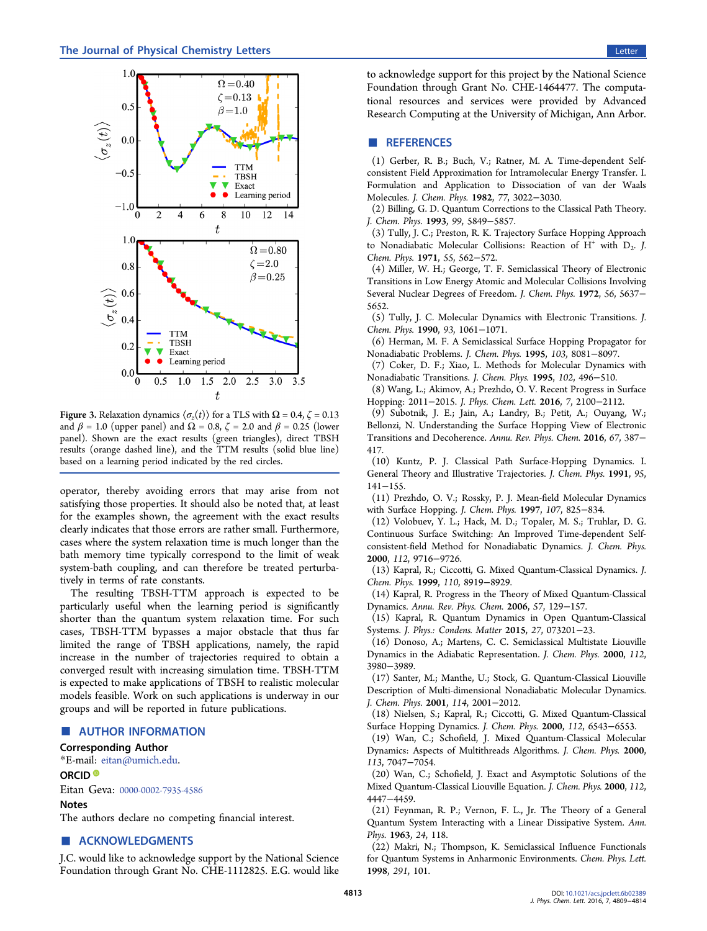<span id="page-4-0"></span>

Figure 3. Relaxation dynamics  $\langle \sigma_z(t) \rangle$  for a TLS with  $\Omega = 0.4$ ,  $\zeta = 0.13$ and  $\beta$  = 1.0 (upper panel) and  $\Omega$  = 0.8,  $\zeta$  = 2.0 and  $\beta$  = 0.25 (lower panel). Shown are the exact results (green triangles), direct TBSH results (orange dashed line), and the TTM results (solid blue line) based on a learning period indicated by the red circles.

operator, thereby avoiding errors that may arise from not satisfying those properties. It should also be noted that, at least for the examples shown, the agreement with the exact results clearly indicates that those errors are rather small. Furthermore, cases where the system relaxation time is much longer than the bath memory time typically correspond to the limit of weak system-bath coupling, and can therefore be treated perturbatively in terms of rate constants.

The resulting TBSH-TTM approach is expected to be particularly useful when the learning period is significantly shorter than the quantum system relaxation time. For such cases, TBSH-TTM bypasses a major obstacle that thus far limited the range of TBSH applications, namely, the rapid increase in the number of trajectories required to obtain a converged result with increasing simulation time. TBSH-TTM is expected to make applications of TBSH to realistic molecular models feasible. Work on such applications is underway in our groups and will be reported in future publications.

## ■ AUTHOR INFORMATION

## Corresponding Author

\*E-mail: [eitan@umich.edu.](mailto:eitan@umich.edu) ORCID<sup>®</sup>

Eitan Geva: [0000-0002-7935-4586](http://orcid.org/0000-0002-7935-4586)

#### Notes

The authors declare no competing financial interest.

# ■ ACKNOWLEDGMENTS

J.C. would like to acknowledge support by the National Science Foundation through Grant No. CHE-1112825. E.G. would like

to acknowledge support for this project by the National Science Foundation through Grant No. CHE-1464477. The computational resources and services were provided by Advanced Research Computing at the University of Michigan, Ann Arbor.

## ■ REFERENCES

(1) Gerber, R. B.; Buch, V.; Ratner, M. A. Time-dependent Selfconsistent Field Approximation for Intramolecular Energy Transfer. I. Formulation and Application to Dissociation of van der Waals Molecules. J. Chem. Phys. 1982, 77, 3022−3030.

(2) Billing, G. D. Quantum Corrections to the Classical Path Theory. J. Chem. Phys. 1993, 99, 5849−5857.

(3) Tully, J. C.; Preston, R. K. Trajectory Surface Hopping Approach to Nonadiabatic Molecular Collisions: Reaction of  $H^+$  with  $D_2$ . J. Chem. Phys. 1971, 55, 562−572.

(4) Miller, W. H.; George, T. F. Semiclassical Theory of Electronic Transitions in Low Energy Atomic and Molecular Collisions Involving Several Nuclear Degrees of Freedom. J. Chem. Phys. 1972, 56, 5637− 5652.

(5) Tully, J. C. Molecular Dynamics with Electronic Transitions. J. Chem. Phys. 1990, 93, 1061−1071.

(6) Herman, M. F. A Semiclassical Surface Hopping Propagator for Nonadiabatic Problems. J. Chem. Phys. 1995, 103, 8081−8097.

(7) Coker, D. F.; Xiao, L. Methods for Molecular Dynamics with Nonadiabatic Transitions. J. Chem. Phys. 1995, 102, 496−510.

(8) Wang, L.; Akimov, A.; Prezhdo, O. V. Recent Progress in Surface Hopping: 2011−2015. J. Phys. Chem. Lett. 2016, 7, 2100−2112.

(9) Subotnik, J. E.; Jain, A.; Landry, B.; Petit, A.; Ouyang, W.; Bellonzi, N. Understanding the Surface Hopping View of Electronic Transitions and Decoherence. Annu. Rev. Phys. Chem. 2016, 67, 387− 417.

(10) Kuntz, P. J. Classical Path Surface-Hopping Dynamics. I. General Theory and Illustrative Trajectories. J. Chem. Phys. 1991, 95, 141−155.

(11) Prezhdo, O. V.; Rossky, P. J. Mean-field Molecular Dynamics with Surface Hopping. J. Chem. Phys. 1997, 107, 825−834.

(12) Volobuev, Y. L.; Hack, M. D.; Topaler, M. S.; Truhlar, D. G. Continuous Surface Switching: An Improved Time-dependent Selfconsistent-field Method for Nonadiabatic Dynamics. J. Chem. Phys. 2000, 112, 9716−9726.

(13) Kapral, R.; Ciccotti, G. Mixed Quantum-Classical Dynamics. J. Chem. Phys. 1999, 110, 8919−8929.

(14) Kapral, R. Progress in the Theory of Mixed Quantum-Classical Dynamics. Annu. Rev. Phys. Chem. 2006, 57, 129−157.

(15) Kapral, R. Quantum Dynamics in Open Quantum-Classical Systems. J. Phys.: Condens. Matter 2015, 27, 073201−23.

(16) Donoso, A.; Martens, C. C. Semiclassical Multistate Liouville Dynamics in the Adiabatic Representation. J. Chem. Phys. 2000, 112, 3980−3989.

(17) Santer, M.; Manthe, U.; Stock, G. Quantum-Classical Liouville Description of Multi-dimensional Nonadiabatic Molecular Dynamics. J. Chem. Phys. 2001, 114, 2001−2012.

(18) Nielsen, S.; Kapral, R.; Ciccotti, G. Mixed Quantum-Classical Surface Hopping Dynamics. J. Chem. Phys. 2000, 112, 6543−6553.

(19) Wan, C.; Schofield, J. Mixed Quantum-Classical Molecular Dynamics: Aspects of Multithreads Algorithms. J. Chem. Phys. 2000, 113, 7047−7054.

(20) Wan, C.; Schofield, J. Exact and Asymptotic Solutions of the Mixed Quantum-Classical Liouville Equation. J. Chem. Phys. 2000, 112, 4447−4459.

(21) Feynman, R. P.; Vernon, F. L., Jr. The Theory of a General Quantum System Interacting with a Linear Dissipative System. Ann. Phys. 1963, 24, 118.

(22) Makri, N.; Thompson, K. Semiclassical Influence Functionals for Quantum Systems in Anharmonic Environments. Chem. Phys. Lett. 1998, 291, 101.